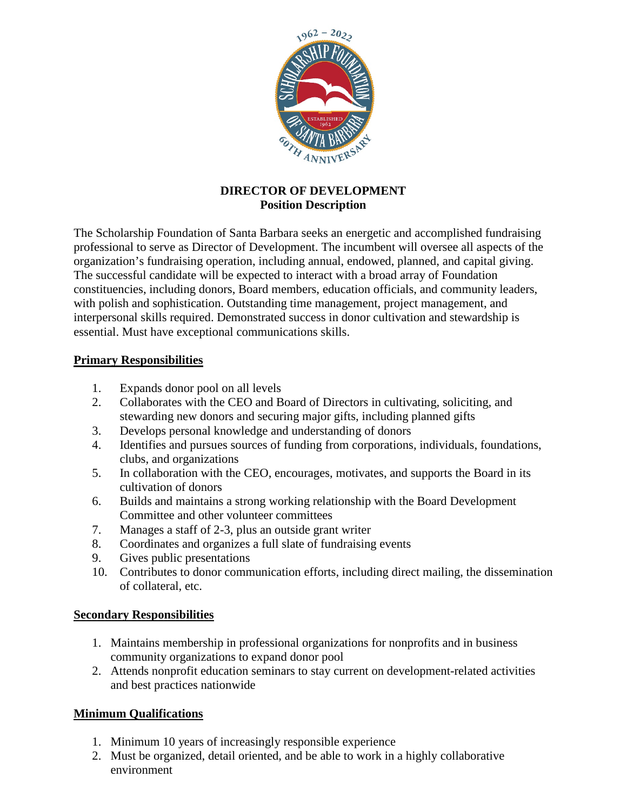

## **DIRECTOR OF DEVELOPMENT Position Description**

The Scholarship Foundation of Santa Barbara seeks an energetic and accomplished fundraising professional to serve as Director of Development. The incumbent will oversee all aspects of the organization's fundraising operation, including annual, endowed, planned, and capital giving. The successful candidate will be expected to interact with a broad array of Foundation constituencies, including donors, Board members, education officials, and community leaders, with polish and sophistication. Outstanding time management, project management, and interpersonal skills required. Demonstrated success in donor cultivation and stewardship is essential. Must have exceptional communications skills.

## **Primary Responsibilities**

- 1. Expands donor pool on all levels
- 2. Collaborates with the CEO and Board of Directors in cultivating, soliciting, and stewarding new donors and securing major gifts, including planned gifts
- 3. Develops personal knowledge and understanding of donors
- 4. Identifies and pursues sources of funding from corporations, individuals, foundations, clubs, and organizations
- 5. In collaboration with the CEO, encourages, motivates, and supports the Board in its cultivation of donors
- 6. Builds and maintains a strong working relationship with the Board Development Committee and other volunteer committees
- 7. Manages a staff of 2-3, plus an outside grant writer
- 8. Coordinates and organizes a full slate of fundraising events
- 9. Gives public presentations
- 10. Contributes to donor communication efforts, including direct mailing, the dissemination of collateral, etc.

## **Secondary Responsibilities**

- 1. Maintains membership in professional organizations for nonprofits and in business community organizations to expand donor pool
- 2. Attends nonprofit education seminars to stay current on development-related activities and best practices nationwide

# **Minimum Qualifications**

- 1. Minimum 10 years of increasingly responsible experience
- 2. Must be organized, detail oriented, and be able to work in a highly collaborative environment